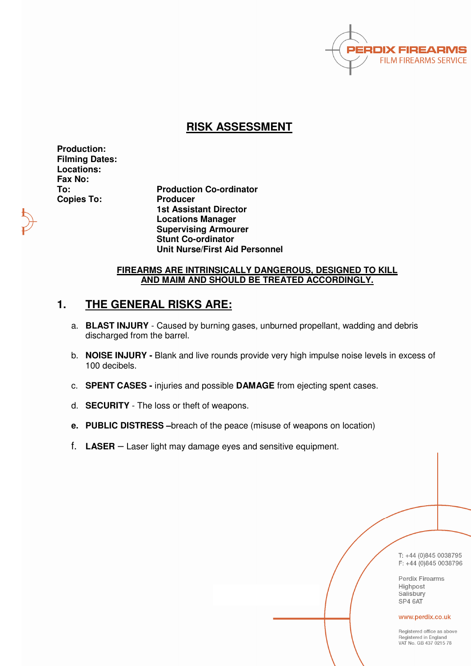

## **RISK ASSESSMENT**

**Production: Filming Dates: Locations: Fax No: Copies To: Producer** 

**To: Production Co-ordinator 1st Assistant Director Locations Manager Supervising Armourer Stunt Co-ordinator Unit Nurse/First Aid Personnel** 

### **FIREARMS ARE INTRINSICALLY DANGEROUS, DESIGNED TO KILL AND MAIM AND SHOULD BE TREATED ACCORDINGLY.**

# **1. THE GENERAL RISKS ARE:**

- a. **BLAST INJURY** Caused by burning gases, unburned propellant, wadding and debris discharged from the barrel.
- b. **NOISE INJURY** Blank and live rounds provide very high impulse noise levels in excess of 100 decibels.
- c. **SPENT CASES** injuries and possible **DAMAGE** from ejecting spent cases.
- d. **SECURITY** The loss or theft of weapons.
- **e. PUBLIC DISTRESS –**breach of the peace (misuse of weapons on location)
- f. **LASER** Laser light may damage eyes and sensitive equipment.

T: +44 (0)845 0038795  $F: +44(0)8450038796$ 

Perdix Firearms Highpost Salisbury SP4 6AT

#### www.perdix.co.uk

Registered office as above Registered in England VAT No. GB 437 0215 78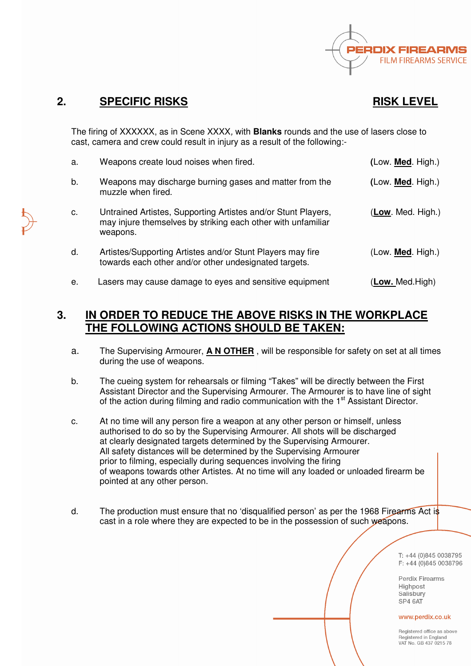

## **2.** SPECIFIC RISKS RISK LEVEL

The firing of XXXXXX, as in Scene XXXX, with **Blanks** rounds and the use of lasers close to cast, camera and crew could result in injury as a result of the following:-

| a. | Weapons create loud noises when fired.                                                                                                    | (Low. <b>Med.</b> High.) |
|----|-------------------------------------------------------------------------------------------------------------------------------------------|--------------------------|
| b. | Weapons may discharge burning gases and matter from the<br>muzzle when fired.                                                             | (Low. Med. High.)        |
| c. | Untrained Artistes, Supporting Artistes and/or Stunt Players,<br>may injure themselves by striking each other with unfamiliar<br>weapons. | (Low. Med. High.)        |
| d. | Artistes/Supporting Artistes and/or Stunt Players may fire<br>towards each other and/or other undesignated targets.                       | (Low. <b>Med.</b> High.) |
| е. | Lasers may cause damage to eyes and sensitive equipment                                                                                   | (Low. Med.High)          |

## **3. IN ORDER TO REDUCE THE ABOVE RISKS IN THE WORKPLACE THE FOLLOWING ACTIONS SHOULD BE TAKEN:**

- a. The Supervising Armourer, **A N OTHER** , will be responsible for safety on set at all times during the use of weapons.
- b. The cueing system for rehearsals or filming "Takes" will be directly between the First Assistant Director and the Supervising Armourer. The Armourer is to have line of sight of the action during filming and radio communication with the 1<sup>st</sup> Assistant Director.
- c. At no time will any person fire a weapon at any other person or himself, unless authorised to do so by the Supervising Armourer. All shots will be discharged at clearly designated targets determined by the Supervising Armourer. All safety distances will be determined by the Supervising Armourer prior to filming, especially during sequences involving the firing of weapons towards other Artistes. At no time will any loaded or unloaded firearm be pointed at any other person.
- d. The production must ensure that no 'disqualified person' as per the 1968 Firearms Act is cast in a role where they are expected to be in the possession of such weapons.

T: +44 (0)845 0038795 F: +44 (0)845 0038796

**Perdix Firearms** Highpost Salisbury SP4 6AT

#### www.perdix.co.uk

Begistered office as above Registered in England VAT No. GB 437 0215 78